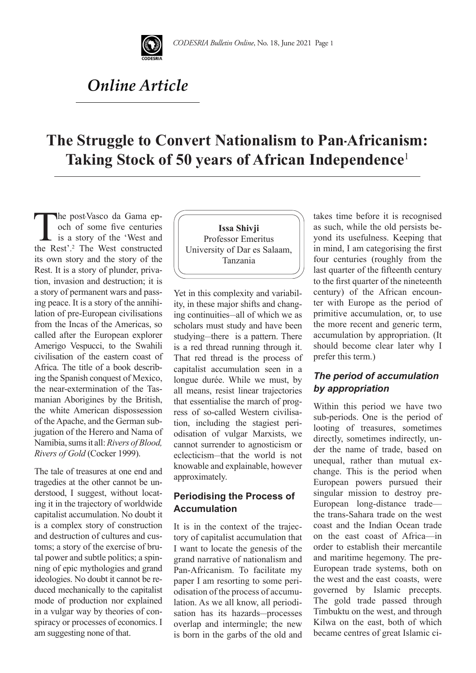

## *Online Article*

# **The Struggle to Convert Nationalism to Pan-Africanism: Taking Stock of 50 years of African Independence**<sup>1</sup>

The post-Vasco da Gama epoch of some five centuries<br>is a story of the 'West and<br>the Rest'<sup>2</sup> The West constructed och of some five centuries is a story of the 'West and the Rest'.2 The West constructed its own story and the story of the Rest. It is a story of plunder, privation, invasion and destruction; it is a story of permanent wars and passing peace. It is a story of the annihilation of pre-European civilisations from the Incas of the Americas, so called after the European explorer Amerigo Vespucci, to the Swahili civilisation of the eastern coast of Africa. The title of a book describing the Spanish conquest of Mexico, the near-extermination of the Tasmanian Aborigines by the British, the white American dispossession of the Apache, and the German subjugation of the Herero and Nama of Namibia, sums it all: *Rivers of Blood, Rivers of Gold* (Cocker 1999).

The tale of treasures at one end and tragedies at the other cannot be understood, I suggest, without locating it in the trajectory of worldwide capitalist accumulation. No doubt it is a complex story of construction and destruction of cultures and customs; a story of the exercise of brutal power and subtle politics; a spinning of epic mythologies and grand ideologies. No doubt it cannot be reduced mechanically to the capitalist mode of production nor explained in a vulgar way by theories of conspiracy or processes of economics. I am suggesting none of that.



Yet in this complexity and variability, in these major shifts and changing continuities—all of which we as scholars must study and have been studying—there is a pattern. There is a red thread running through it. That red thread is the process of capitalist accumulation seen in a longue durée. While we must, by all means, resist linear trajectories that essentialise the march of progress of so-called Western civilisation, including the stagiest periodisation of vulgar Marxists, we cannot surrender to agnosticism or eclecticism—that the world is not knowable and explainable, however approximately.

## **Periodising the Process of Accumulation**

It is in the context of the trajectory of capitalist accumulation that I want to locate the genesis of the grand narrative of nationalism and Pan-Africanism. To facilitate my paper I am resorting to some periodisation of the process of accumulation. As we all know, all periodisation has its hazards—processes overlap and intermingle; the new is born in the garbs of the old and takes time before it is recognised as such, while the old persists beyond its usefulness. Keeping that in mind, I am categorising the first four centuries (roughly from the last quarter of the fifteenth century to the first quarter of the nineteenth century) of the African encounter with Europe as the period of primitive accumulation, or, to use the more recent and generic term, accumulation by appropriation. (It should become clear later why I prefer this term.)

## *The period of accumulation by appropriation*

Within this period we have two sub-periods. One is the period of looting of treasures, sometimes directly, sometimes indirectly, under the name of trade, based on unequal, rather than mutual exchange. This is the period when European powers pursued their singular mission to destroy pre-European long-distance trade the trans-Sahara trade on the west coast and the Indian Ocean trade on the east coast of Africa—in order to establish their mercantile and maritime hegemony. The pre-European trade systems, both on the west and the east coasts, were governed by Islamic precepts. The gold trade passed through Timbuktu on the west, and through Kilwa on the east, both of which became centres of great Islamic ci-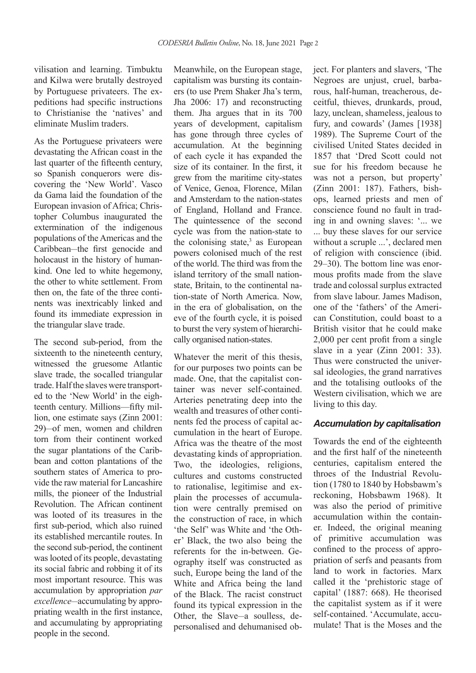vilisation and learning. Timbuktu and Kilwa were brutally destroyed by Portuguese privateers. The expeditions had specific instructions to Christianise the 'natives' and eliminate Muslim traders.

As the Portuguese privateers were devastating the African coast in the last quarter of the fifteenth century, so Spanish conquerors were discovering the 'New World'. Vasco da Gama laid the foundation of the European invasion of Africa; Christopher Columbus inaugurated the extermination of the indigenous populations of the Americas and the Caribbean—the first genocide and holocaust in the history of humankind. One led to white hegemony, the other to white settlement. From then on, the fate of the three continents was inextricably linked and found its immediate expression in the triangular slave trade.

The second sub-period, from the sixteenth to the nineteenth century, witnessed the gruesome Atlantic slave trade, the so-called triangular trade. Half the slaves were transported to the 'New World' in the eighteenth century. Millions—fifty million, one estimate says (Zinn 2001: 29)—of men, women and children torn from their continent worked the sugar plantations of the Caribbean and cotton plantations of the southern states of America to provide the raw material for Lancashire mills, the pioneer of the Industrial Revolution. The African continent was looted of its treasures in the first sub-period, which also ruined its established mercantile routes. In the second sub-period, the continent was looted of its people, devastating its social fabric and robbing it of its most important resource. This was accumulation by appropriation *par excellence*—accumulating by appropriating wealth in the first instance, and accumulating by appropriating people in the second.

Meanwhile, on the European stage, capitalism was bursting its containers (to use Prem Shaker Jha's term, Jha 2006: 17) and reconstructing them. Jha argues that in its 700 years of development, capitalism has gone through three cycles of accumulation. At the beginning of each cycle it has expanded the size of its container. In the first, it grew from the maritime city-states of Venice, Genoa, Florence, Milan and Amsterdam to the nation-states of England, Holland and France. The quintessence of the second cycle was from the nation-state to the colonising state, $3$  as European powers colonised much of the rest of the world. The third was from the island territory of the small nationstate, Britain, to the continental nation-state of North America. Now, in the era of globalisation, on the eve of the fourth cycle, it is poised to burst the very system of hierarchically organised nation-states.

Whatever the merit of this thesis, for our purposes two points can be made. One, that the capitalist container was never self-contained. Arteries penetrating deep into the wealth and treasures of other continents fed the process of capital accumulation in the heart of Europe. Africa was the theatre of the most devastating kinds of appropriation. Two, the ideologies, religions, cultures and customs constructed to rationalise, legitimise and explain the processes of accumulation were centrally premised on the construction of race, in which 'the Self' was White and 'the Other' Black, the two also being the referents for the in-between. Geography itself was constructed as such, Europe being the land of the White and Africa being the land of the Black. The racist construct found its typical expression in the Other, the Slave—a soulless, depersonalised and dehumanised object. For planters and slavers, 'The Negroes are unjust, cruel, barbarous, half-human, treacherous, deceitful, thieves, drunkards, proud, lazy, unclean, shameless, jealous to fury, and cowards' (James [1938] 1989). The Supreme Court of the civilised United States decided in 1857 that 'Dred Scott could not sue for his freedom because he was not a person, but property' (Zinn 2001: 187). Fathers, bishops, learned priests and men of conscience found no fault in trading in and owning slaves: '... we ... buy these slaves for our service without a scruple ...', declared men of religion with conscience (ibid. 29–30). The bottom line was enormous profits made from the slave trade and colossal surplus extracted from slave labour. James Madison, one of the 'fathers' of the American Constitution, could boast to a British visitor that he could make 2,000 per cent profit from a single slave in a year (Zinn 2001: 33). Thus were constructed the universal ideologies, the grand narratives and the totalising outlooks of the Western civilisation, which we are living to this day.

#### *Accumulation by capitalisation*

Towards the end of the eighteenth and the first half of the nineteenth centuries, capitalism entered the throes of the Industrial Revolution (1780 to 1840 by Hobsbawm's reckoning, Hobsbawm 1968). It was also the period of primitive accumulation within the container. Indeed, the original meaning of primitive accumulation was confined to the process of appropriation of serfs and peasants from land to work in factories. Marx called it the 'prehistoric stage of capital' (1887: 668). He theorised the capitalist system as if it were self-contained. 'Accumulate, accumulate! That is the Moses and the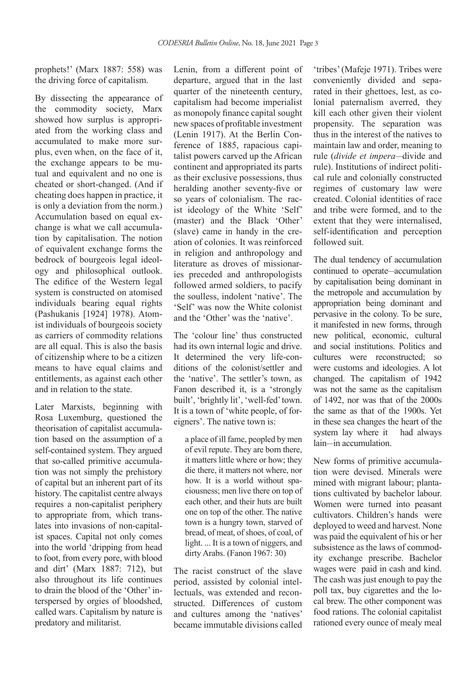prophets!' (Marx 1887: 558) was the driving force of capitalism.

By dissecting the appearance of the commodity society, Marx showed how surplus is appropriated from the working class and accumulated to make more surplus, even when, on the face of it, the exchange appears to be mutual and equivalent and no one is cheated or short-changed. (And if cheating does happen in practice, it is only a deviation from the norm.) Accumulation based on equal exchange is what we call accumulation by capitalisation. The notion of equivalent exchange forms the bedrock of bourgeois legal ideology and philosophical outlook. The edifice of the Western legal system is constructed on atomised individuals bearing equal rights (Pashukanis [1924] 1978). Atomist individuals of bourgeois society as carriers of commodity relations are all equal. This is also the basis of citizenship where to be a citizen means to have equal claims and entitlements, as against each other and in relation to the state.

Later Marxists, beginning with Rosa Luxemburg, questioned the theorisation of capitalist accumulation based on the assumption of a self-contained system. They argued that so-called primitive accumulation was not simply the prehistory of capital but an inherent part of its history. The capitalist centre always requires a non-capitalist periphery to appropriate from, which translates into invasions of non-capitalist spaces. Capital not only comes into the world 'dripping from head to foot, from every pore, with blood and dirt' (Marx 1887: 712), but also throughout its life continues to drain the blood of the 'Other' interspersed by orgies of bloodshed. called wars. Capitalism by nature is predatory and militarist.

Lenin, from a different point of departure, argued that in the last quarter of the nineteenth century, capitalism had become imperialist as monopoly finance capital sought new spaces of profitable investment (Lenin 1917). At the Berlin Conference of 1885, rapacious capitalist powers carved up the African continent and appropriated its parts as their exclusive possessions, thus heralding another seventy-five or so years of colonialism. The racist ideology of the White 'Self' (master) and the Black 'Other' (slave) came in handy in the creation of colonies. It was reinforced in religion and anthropology and literature as droves of missionaries preceded and anthropologists followed armed soldiers, to pacify the soulless, indolent 'native'. The 'Self' was now the White colonist and the 'Other' was the 'native'.

The 'colour line' thus constructed had its own internal logic and drive. It determined the very life-conditions of the colonist/settler and the 'native'. The settler's town, as Fanon described it, is a 'strongly built', 'brightly lit', 'well-fed' town. It is a town of 'white people, of foreigners'. The native town is:

a place of ill fame, peopled by men of evil repute. They are born there, it matters little where or how; they die there, it matters not where, nor how. It is a world without spaciousness; men live there on top of each other, and their huts are built one on top of the other. The native town is a hungry town, starved of bread, of meat, of shoes, of coal, of light. ... It is a town of niggers, and dirty Arabs. (Fanon 1967: 30)

The racist construct of the slave period, assisted by colonial intellectuals, was extended and reconstructed. Differences of custom and cultures among the 'natives' became immutable divisions called

'tribes' (Mafeje 1971). Tribes were conveniently divided and separated in their ghettoes, lest, as colonial paternalism averred, they kill each other given their violent propensity. The separation was thus in the interest of the natives to maintain law and order, meaning to rule (*divide et impera*—divide and rule). Institutions of indirect political rule and colonially constructed regimes of customary law were created. Colonial identities of race and tribe were formed, and to the extent that they were internalised, self-identification and perception followed suit.

The dual tendency of accumulation continued to operate—accumulation by capitalisation being dominant in the metropole and accumulation by appropriation being dominant and pervasive in the colony. To be sure, it manifested in new forms, through new political, economic, cultural and social institutions. Politics and cultures were reconstructed; so were customs and ideologies. A lot changed. The capitalism of 1942 was not the same as the capitalism of 1492, nor was that of the 2000s the same as that of the 1900s. Yet in these sea changes the heart of the system lay where it had always lain—in accumulation.

New forms of primitive accumulation were devised. Minerals were mined with migrant labour; plantations cultivated by bachelor labour. Women were turned into peasant cultivators. Children's hands were deployed to weed and harvest. None was paid the equivalent of his or her subsistence as the laws of commodity exchange prescribe. Bachelor wages were paid in cash and kind. The cash was just enough to pay the poll tax, buy cigarettes and the local brew. The other component was food rations. The colonial capitalist rationed every ounce of mealy meal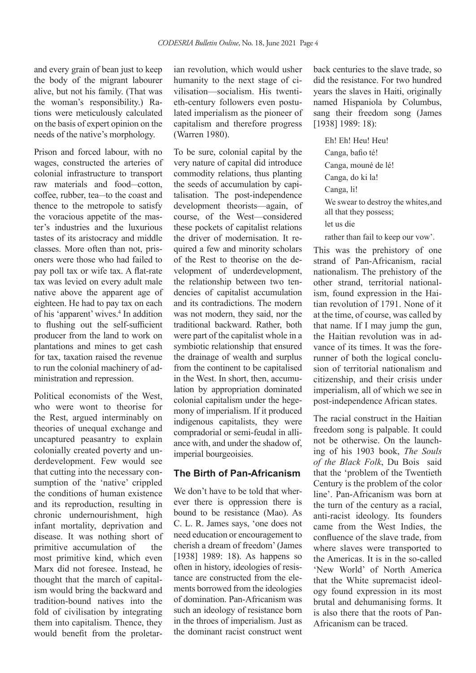and every grain of bean just to keep the body of the migrant labourer alive, but not his family. (That was the woman's responsibility.) Rations were meticulously calculated on the basis of expert opinion on the needs of the native's morphology.

Prison and forced labour, with no wages, constructed the arteries of colonial infrastructure to transport raw materials and food—cotton, coffee, rubber, tea—to the coast and thence to the metropole to satisfy the voracious appetite of the master's industries and the luxurious tastes of its aristocracy and middle classes. More often than not, prisoners were those who had failed to pay poll tax or wife tax. A flat-rate tax was levied on every adult male native above the apparent age of eighteen. He had to pay tax on each of his 'apparent' wives.<sup>4</sup> In addition to flushing out the self-sufficient producer from the land to work on plantations and mines to get cash for tax, taxation raised the revenue to run the colonial machinery of administration and repression.

Political economists of the West, who were wont to theorise for the Rest, argued interminably on theories of unequal exchange and uncaptured peasantry to explain colonially created poverty and underdevelopment. Few would see that cutting into the necessary consumption of the 'native' crippled the conditions of human existence and its reproduction, resulting in chronic undernourishment, high infant mortality, deprivation and disease. It was nothing short of primitive accumulation of the most primitive kind, which even Marx did not foresee. Instead, he thought that the march of capitalism would bring the backward and tradition-bound natives into the fold of civilisation by integrating them into capitalism. Thence, they would benefit from the proletar-

ian revolution, which would usher humanity to the next stage of civilisation—socialism. His twentieth-century followers even postulated imperialism as the pioneer of capitalism and therefore progress (Warren 1980).

To be sure, colonial capital by the very nature of capital did introduce commodity relations, thus planting the seeds of accumulation by capitalisation. The post-independence development theorists—again, of course, of the West—considered these pockets of capitalist relations the driver of modernisation. It required a few and minority scholars of the Rest to theorise on the development of underdevelopment, the relationship between two tendencies of capitalist accumulation and its contradictions. The modern was not modern, they said, nor the traditional backward. Rather, both were part of the capitalist whole in a symbiotic relationship that ensured the drainage of wealth and surplus from the continent to be capitalised in the West. In short, then, accumulation by appropriation dominated colonial capitalism under the hegemony of imperialism. If it produced indigenous capitalists, they were compradorial or semi-feudal in alliance with, and under the shadow of, imperial bourgeoisies.

#### **The Birth of Pan-Africanism**

We don't have to be told that wherever there is oppression there is bound to be resistance (Mao). As C. L. R. James says, 'one does not need education or encouragement to cherish a dream of freedom' (James [1938] 1989: 18). As happens so often in history, ideologies of resistance are constructed from the elements borrowed from the ideologies of domination. Pan-Africanism was such an ideology of resistance born in the throes of imperialism. Just as the dominant racist construct went back centuries to the slave trade, so did the resistance. For two hundred years the slaves in Haiti, originally named Hispaniola by Columbus, sang their freedom song (James [1938] 1989: 18):

Eh! Eh! Heu! Heu! Canga, bafio té! Canga, mouné de lé! Canga, do ki la! Canga, li! We swear to destroy the whites, and all that they possess; let us die rather than fail to keep our vow'.

This was the prehistory of one strand of Pan-Africanism, racial nationalism. The prehistory of the other strand, territorial nationalism, found expression in the Haitian revolution of 1791. None of it at the time, of course, was called by that name. If I may jump the gun, the Haitian revolution was in advance of its times. It was the forerunner of both the logical conclusion of territorial nationalism and citizenship, and their crisis under imperialism, all of which we see in post-independence African states.

The racial construct in the Haitian freedom song is palpable. It could not be otherwise. On the launching of his 1903 book, *The Souls of the Black Folk*, Du Bois said that the 'problem of the Twentieth Century is the problem of the color line'. Pan-Africanism was born at the turn of the century as a racial, anti-racist ideology. Its founders came from the West Indies, the confluence of the slave trade, from where slaves were transported to the Americas. It is in the so-called 'New World' of North America that the White supremacist ideology found expression in its most brutal and dehumanising forms. It is also there that the roots of Pan-Africanism can be traced.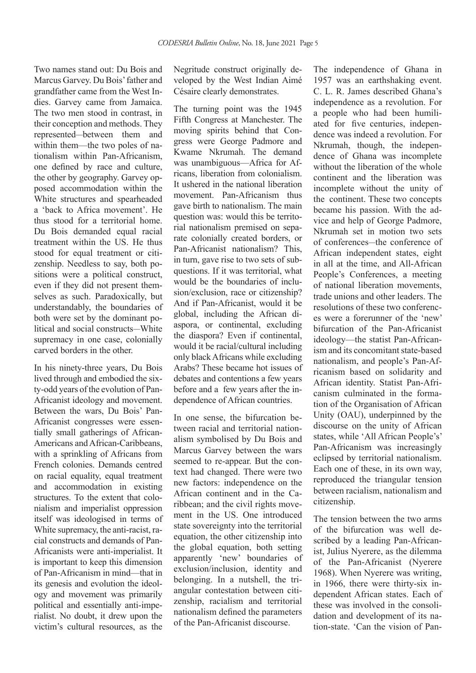Two names stand out: Du Bois and Marcus Garvey. Du Bois' father and grandfather came from the West Indies. Garvey came from Jamaica. The two men stood in contrast, in their conception and methods. They represented—between them and within them—the two poles of nationalism within Pan-Africanism, one defined by race and culture, the other by geography. Garvey opposed accommodation within the White structures and spearheaded a 'back to Africa movement'. He thus stood for a territorial home. Du Bois demanded equal racial treatment within the US. He thus stood for equal treatment or citizenship. Needless to say, both positions were a political construct, even if they did not present themselves as such. Paradoxically, but understandably, the boundaries of both were set by the dominant political and social constructs—White supremacy in one case, colonially carved borders in the other.

In his ninety-three years, Du Bois lived through and embodied the sixty-odd years of the evolution of Pan-Africanist ideology and movement. Between the wars, Du Bois' Pan-Africanist congresses were essentially small gatherings of African-Americans and African-Caribbeans, with a sprinkling of Africans from French colonies. Demands centred on racial equality, equal treatment and accommodation in existing structures. To the extent that colonialism and imperialist oppression itself was ideologised in terms of White supremacy, the anti-racist, racial constructs and demands of Pan-Africanists were anti-imperialist. It is important to keep this dimension of Pan-Africanism in mind—that in its genesis and evolution the ideology and movement was primarily political and essentially anti-imperialist. No doubt, it drew upon the victim's cultural resources, as the Negritude construct originally developed by the West Indian Aimé Césaire clearly demonstrates.

The turning point was the 1945 Fifth Congress at Manchester. The moving spirits behind that Congress were George Padmore and Kwame Nkrumah. The demand was unambiguous—Africa for Africans, liberation from colonialism. It ushered in the national liberation movement. Pan-Africanism thus gave birth to nationalism. The main question was: would this be territorial nationalism premised on separate colonially created borders, or Pan-Africanist nationalism? This, in turn, gave rise to two sets of subquestions. If it was territorial, what would be the boundaries of inclusion/exclusion, race or citizenship? And if Pan-Africanist, would it be global, including the African diaspora, or continental, excluding the diaspora? Even if continental, would it be racial/cultural including only black Africans while excluding Arabs? These became hot issues of debates and contentions a few years before and a few years after the independence of African countries.

In one sense, the bifurcation between racial and territorial nationalism symbolised by Du Bois and Marcus Garvey between the wars seemed to re-appear. But the context had changed. There were two new factors: independence on the African continent and in the Caribbean; and the civil rights movement in the US. One introduced state sovereignty into the territorial equation, the other citizenship into the global equation, both setting apparently 'new' boundaries of exclusion/inclusion, identity and belonging. In a nutshell, the triangular contestation between citizenship, racialism and territorial nationalism defined the parameters of the Pan-Africanist discourse.

The independence of Ghana in 1957 was an earthshaking event. C. L. R. James described Ghana's independence as a revolution. For a people who had been humiliated for five centuries, independence was indeed a revolution. For Nkrumah, though, the independence of Ghana was incomplete without the liberation of the whole continent and the liberation was incomplete without the unity of the continent. These two concepts became his passion. With the advice and help of George Padmore, Nkrumah set in motion two sets of conferences—the conference of African independent states, eight in all at the time, and All-African People's Conferences, a meeting of national liberation movements, trade unions and other leaders. The resolutions of these two conferences were a forerunner of the 'new' bifurcation of the Pan-Africanist ideology—the statist Pan-Africanism and its concomitant state-based nationalism, and people's Pan-Africanism based on solidarity and African identity. Statist Pan-Africanism culminated in the formation of the Organisation of African Unity (OAU), underpinned by the discourse on the unity of African states, while 'All African People's' Pan-Africanism was increasingly eclipsed by territorial nationalism. Each one of these, in its own way, reproduced the triangular tension between racialism, nationalism and citizenship.

The tension between the two arms of the bifurcation was well described by a leading Pan-Africanist, Julius Nyerere, as the dilemma of the Pan-Africanist (Nyerere 1968). When Nyerere was writing, in 1966, there were thirty-six independent African states. Each of these was involved in the consolidation and development of its nation-state. 'Can the vision of Pan-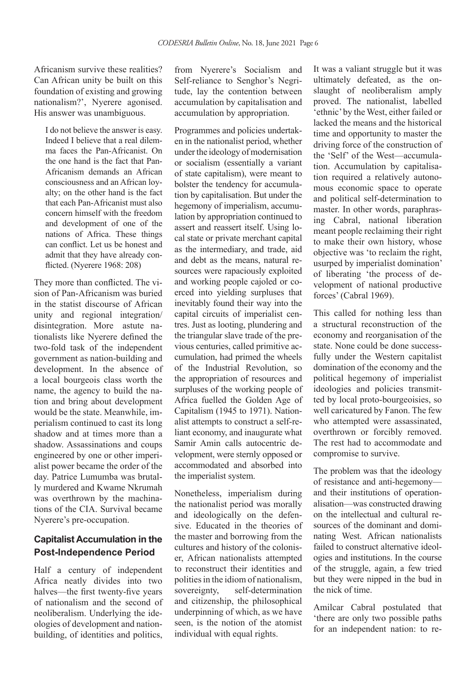Africanism survive these realities? Can African unity be built on this foundation of existing and growing nationalism?', Nyerere agonised. His answer was unambiguous.

I do not believe the answer is easy. Indeed I believe that a real dilemma faces the Pan-Africanist. On the one hand is the fact that Pan-Africanism demands an African consciousness and an African loyalty; on the other hand is the fact that each Pan-Africanist must also concern himself with the freedom and development of one of the nations of Africa. These things can conflict. Let us be honest and admit that they have already conflicted. (Nyerere 1968: 208)

They more than conflicted. The vision of Pan-Africanism was buried in the statist discourse of African unity and regional integration/ disintegration. More astute nationalists like Nyerere defined the two-fold task of the independent government as nation-building and development. In the absence of a local bourgeois class worth the name, the agency to build the nation and bring about development would be the state. Meanwhile, imperialism continued to cast its long shadow and at times more than a shadow. Assassinations and coups engineered by one or other imperialist power became the order of the day. Patrice Lumumba was brutally murdered and Kwame Nkrumah was overthrown by the machinations of the CIA. Survival became Nyerere's pre-occupation.

## **Capitalist Accumulation in the Post-Independence Period**

Half a century of independent Africa neatly divides into two halves—the first twenty-five years of nationalism and the second of neoliberalism. Underlying the ideologies of development and nationbuilding, of identities and politics, from Nyerere's Socialism and Self-reliance to Senghor's Negritude, lay the contention between accumulation by capitalisation and accumulation by appropriation.

Programmes and policies undertaken in the nationalist period, whether under the ideology of modernisation or socialism (essentially a variant of state capitalism), were meant to bolster the tendency for accumulation by capitalisation. But under the hegemony of imperialism, accumulation by appropriation continued to assert and reassert itself. Using local state or private merchant capital as the intermediary, and trade, aid and debt as the means, natural resources were rapaciously exploited and working people cajoled or coerced into yielding surpluses that inevitably found their way into the capital circuits of imperialist centres. Just as looting, plundering and the triangular slave trade of the previous centuries, called primitive accumulation, had primed the wheels of the Industrial Revolution, so the appropriation of resources and surpluses of the working people of Africa fuelled the Golden Age of Capitalism (1945 to 1971). Nationalist attempts to construct a self-reliant economy, and inaugurate what Samir Amin calls autocentric development, were sternly opposed or accommodated and absorbed into the imperialist system.

Nonetheless, imperialism during the nationalist period was morally and ideologically on the defensive. Educated in the theories of the master and borrowing from the cultures and history of the coloniser, African nationalists attempted to reconstruct their identities and polities in the idiom of nationalism, sovereignty, self-determination and citizenship, the philosophical underpinning of which, as we have seen, is the notion of the atomist individual with equal rights.

It was a valiant struggle but it was ultimately defeated, as the onslaught of neoliberalism amply proved. The nationalist, labelled 'ethnic' by the West, either failed or lacked the means and the historical time and opportunity to master the driving force of the construction of the 'Self' of the West—accumulation. Accumulation by capitalisation required a relatively autonomous economic space to operate and political self-determination to master. In other words, paraphrasing Cabral, national liberation meant people reclaiming their right to make their own history, whose objective was 'to reclaim the right, usurped by imperialist domination' of liberating 'the process of development of national productive forces' (Cabral 1969).

This called for nothing less than a structural reconstruction of the economy and reorganisation of the state. None could be done successfully under the Western capitalist domination of the economy and the political hegemony of imperialist ideologies and policies transmitted by local proto-bourgeoisies, so well caricatured by Fanon. The few who attempted were assassinated, overthrown or forcibly removed. The rest had to accommodate and compromise to survive.

The problem was that the ideology of resistance and anti-hegemony and their institutions of operationalisation—was constructed drawing on the intellectual and cultural resources of the dominant and dominating West. African nationalists failed to construct alternative ideologies and institutions. In the course of the struggle, again, a few tried but they were nipped in the bud in the nick of time.

Amilcar Cabral postulated that 'there are only two possible paths for an independent nation: to re-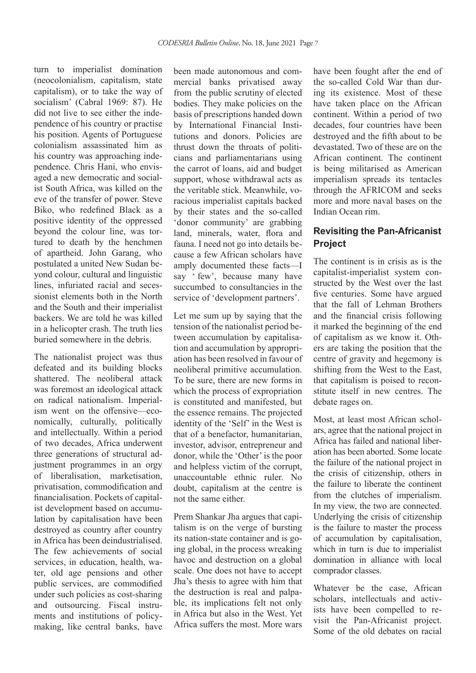turn to imperialist domination (neocolonialism, capitalism, state capitalism), or to take the way of socialism' (Cabral 1969: 87). He did not live to see either the independence of his country or practise his position. Agents of Portuguese colonialism assassinated him as his country was approaching independence. Chris Hani, who envisaged a new democratic and socialist South Africa, was killed on the eve of the transfer of power. Steve Biko, who redefined Black as a positive identity of the oppressed beyond the colour line, was tortured to death by the henchmen of apartheid. John Garang, who postulated a united New Sudan beyond colour, cultural and linguistic lines, infuriated racial and secessionist elements both in the North and the South and their imperialist backers. We are told he was killed in a helicopter crash. The truth lies buried somewhere in the debris.

The nationalist project was thus defeated and its building blocks shattered. The neoliberal attack was foremost an ideological attack on radical nationalism. Imperialism went on the offensive—economically, culturally, politically and intellectually. Within a period of two decades, Africa underwent three generations of structural adjustment programmes in an orgy of liberalisation, marketisation, privatisation, commodification and financialisation. Pockets of capitalist development based on accumulation by capitalisation have been destroyed as country after country in Africa has been deindustrialised. The few achievements of social services, in education, health, water, old age pensions and other public services, are commodified under such policies as cost-sharing and outsourcing. Fiscal instruments and institutions of policymaking, like central banks, have

been made autonomous and commercial banks privatised away from the public scrutiny of elected bodies. They make policies on the basis of prescriptions handed down by International Financial Institutions and donors. Policies are thrust down the throats of politicians and parliamentarians using the carrot of loans, aid and budget support, whose withdrawal acts as the veritable stick. Meanwhile, voracious imperialist capitals backed by their states and the so-called 'donor community' are grabbing land, minerals, water, flora and fauna. I need not go into details because a few African scholars have amply documented these facts—I say ' few', because many have succumbed to consultancies in the service of 'development partners'.

Let me sum up by saying that the tension of the nationalist period between accumulation by capitalisation and accumulation by appropriation has been resolved in favour of neoliberal primitive accumulation. To be sure, there are new forms in which the process of expropriation is constituted and manifested, but the essence remains. The projected identity of the 'Self' in the West is that of a benefactor, humanitarian, investor, advisor, entrepreneur and donor, while the 'Other' is the poor and helpless victim of the corrupt, unaccountable ethnic ruler. No doubt, capitalism at the centre is not the same either.

Prem Shankar Jha argues that capitalism is on the verge of bursting its nation-state container and is going global, in the process wreaking havoc and destruction on a global scale. One does not have to accept Jha's thesis to agree with him that the destruction is real and palpable, its implications felt not only in Africa but also in the West. Yet Africa suffers the most. More wars

have been fought after the end of the so-called Cold War than during its existence. Most of these have taken place on the African continent. Within a period of two decades, four countries have been destroyed and the fifth about to be devastated. Two of these are on the African continent. The continent is being militarised as American imperialism spreads its tentacles through the AFRICOM and seeks more and more naval bases on the Indian Ocean rim.

## **Revisiting the Pan-Africanist Project**

The continent is in crisis as is the capitalist-imperialist system constructed by the West over the last five centuries. Some have argued that the fall of Lehman Brothers and the financial crisis following it marked the beginning of the end of capitalism as we know it. Others are taking the position that the centre of gravity and hegemony is shifting from the West to the East, that capitalism is poised to reconstitute itself in new centres. The debate rages on.

Most, at least most African scholars, agree that the national project in Africa has failed and national liberation has been aborted. Some locate the failure of the national project in the crisis of citizenship, others in the failure to liberate the continent from the clutches of imperialism. In my view, the two are connected. Underlying the crisis of citizenship is the failure to master the process of accumulation by capitalisation, which in turn is due to imperialist domination in alliance with local comprador classes.

Whatever be the case, African scholars, intellectuals and activists have been compelled to revisit the Pan-Africanist project. Some of the old debates on racial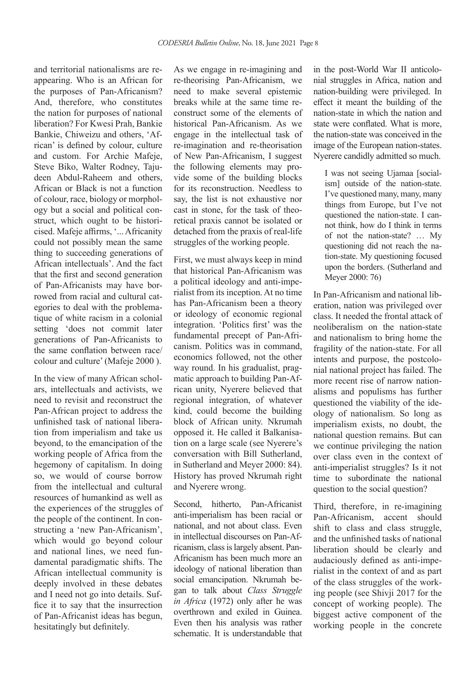and territorial nationalisms are reappearing. Who is an African for the purposes of Pan-Africanism? And, therefore, who constitutes the nation for purposes of national liberation? For Kwesi Prah, Bankie Bankie, Chiweizu and others, 'African' is defined by colour, culture and custom. For Archie Mafeje, Steve Biko, Walter Rodney, Tajudeen Abdul-Raheem and others, African or Black is not a function of colour, race, biology or morphology but a social and political construct, which ought to be historicised. Mafeje affirms, '... Africanity could not possibly mean the same thing to succeeding generations of African intellectuals'. And the fact that the first and second generation of Pan-Africanists may have borrowed from racial and cultural categories to deal with the problematique of white racism in a colonial setting 'does not commit later generations of Pan-Africanists to the same conflation between race/ colour and culture' (Mafeje 2000 ).

In the view of many African scholars, intellectuals and activists, we need to revisit and reconstruct the Pan-African project to address the unfinished task of national liberation from imperialism and take us beyond, to the emancipation of the working people of Africa from the hegemony of capitalism. In doing so, we would of course borrow from the intellectual and cultural resources of humankind as well as the experiences of the struggles of the people of the continent. In constructing a 'new Pan-Africanism', which would go beyond colour and national lines, we need fundamental paradigmatic shifts. The African intellectual community is deeply involved in these debates and I need not go into details. Suffice it to say that the insurrection of Pan-Africanist ideas has begun, hesitatingly but definitely.

As we engage in re-imagining and re-theorising Pan-Africanism, we need to make several epistemic breaks while at the same time reconstruct some of the elements of historical Pan-Africanism. As we engage in the intellectual task of re-imagination and re-theorisation of New Pan-Africanism, I suggest the following elements may provide some of the building blocks for its reconstruction. Needless to say, the list is not exhaustive nor cast in stone, for the task of theoretical praxis cannot be isolated or detached from the praxis of real-life struggles of the working people.

First, we must always keep in mind that historical Pan-Africanism was a political ideology and anti-imperialist from its inception. At no time has Pan-Africanism been a theory or ideology of economic regional integration. 'Politics first' was the fundamental precept of Pan-Africanism. Politics was in command, economics followed, not the other way round. In his gradualist, pragmatic approach to building Pan-African unity, Nyerere believed that regional integration, of whatever kind, could become the building block of African unity. Nkrumah opposed it. He called it Balkanisation on a large scale (see Nyerere's conversation with Bill Sutherland, in Sutherland and Meyer 2000: 84). History has proved Nkrumah right and Nyerere wrong.

Second, hitherto, Pan-Africanist anti-imperialism has been racial or national, and not about class. Even in intellectual discourses on Pan-Africanism, class is largely absent. Pan-Africanism has been much more an ideology of national liberation than social emancipation. Nkrumah began to talk about *Class Struggle in Africa* (1972) only after he was overthrown and exiled in Guinea. Even then his analysis was rather schematic. It is understandable that in the post-World War II anticolonial struggles in Africa, nation and nation-building were privileged. In effect it meant the building of the nation-state in which the nation and state were conflated. What is more, the nation-state was conceived in the image of the European nation-states. Nyerere candidly admitted so much.

I was not seeing Ujamaa [socialism] outside of the nation-state. I've questioned many, many, many things from Europe, but I've not questioned the nation-state. I cannot think, how do I think in terms of not the nation-state? … My questioning did not reach the nation-state. My questioning focused upon the borders. (Sutherland and Meyer 2000: 76)

In Pan-Africanism and national liberation, nation was privileged over class. It needed the frontal attack of neoliberalism on the nation-state and nationalism to bring home the fragility of the nation-state. For all intents and purpose, the postcolonial national project has failed. The more recent rise of narrow nationalisms and populisms has further questioned the viability of the ideology of nationalism. So long as imperialism exists, no doubt, the national question remains. But can we continue privileging the nation over class even in the context of anti-imperialist struggles? Is it not time to subordinate the national question to the social question?

Third, therefore, in re-imagining Pan-Africanism, accent should shift to class and class struggle, and the unfinished tasks of national liberation should be clearly and audaciously defined as anti-imperialist in the context of and as part of the class struggles of the working people (see Shivji 2017 for the concept of working people). The biggest active component of the working people in the concrete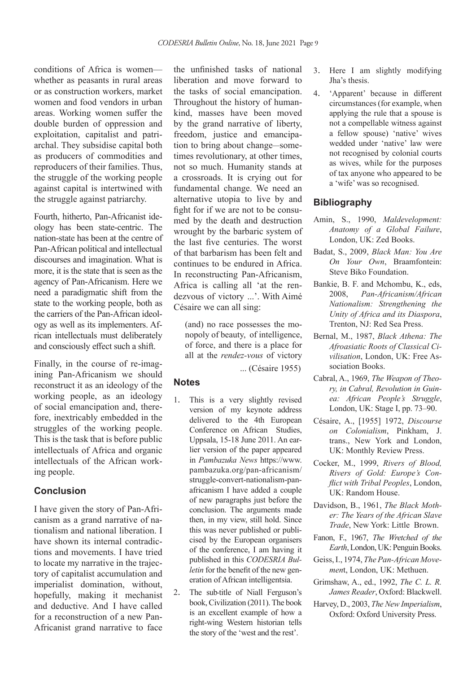conditions of Africa is women whether as peasants in rural areas or as construction workers, market women and food vendors in urban areas. Working women suffer the double burden of oppression and exploitation, capitalist and patriarchal. They subsidise capital both as producers of commodities and reproducers of their families. Thus, the struggle of the working people against capital is intertwined with the struggle against patriarchy.

Fourth, hitherto, Pan-Africanist ideology has been state-centric. The nation-state has been at the centre of Pan-African political and intellectual discourses and imagination. What is more, it is the state that is seen as the agency of Pan-Africanism. Here we need a paradigmatic shift from the state to the working people, both as the carriers of the Pan-African ideology as well as its implementers. African intellectuals must deliberately and consciously effect such a shift.

Finally, in the course of re-imagining Pan-Africanism we should reconstruct it as an ideology of the working people, as an ideology of social emancipation and, therefore, inextricably embedded in the struggles of the working people. This is the task that is before public intellectuals of Africa and organic intellectuals of the African working people.

#### **Conclusion**

I have given the story of Pan-Africanism as a grand narrative of nationalism and national liberation. I have shown its internal contradictions and movements. I have tried to locate my narrative in the trajectory of capitalist accumulation and imperialist domination, without, hopefully, making it mechanist and deductive. And I have called for a reconstruction of a new Pan-Africanist grand narrative to face

the unfinished tasks of national liberation and move forward to the tasks of social emancipation. Throughout the history of humankind, masses have been moved by the grand narrative of liberty, freedom, justice and emancipation to bring about change—sometimes revolutionary, at other times, not so much. Humanity stands at a crossroads. It is crying out for fundamental change. We need an alternative utopia to live by and fight for if we are not to be consumed by the death and destruction wrought by the barbaric system of the last five centuries. The worst of that barbarism has been felt and continues to be endured in Africa. In reconstructing Pan-Africanism, Africa is calling all 'at the rendezvous of victory ...'. With Aimé Césaire we can all sing:

(and) no race possesses the monopoly of beauty, of intelligence, of force, and there is a place for all at the *rendez-vous* of victory

... (Césaire 1955)

### **Notes**

- 1. This is a very slightly revised version of my keynote address delivered to the 4th European Conference on African Studies, Uppsala, 15-18 June 2011. An earlier version of the paper appeared in *Pambazuka News* https://www. pambazuka.org/pan-africanism/ struggle-convert-nationalism-panafricanism I have added a couple of new paragraphs just before the conclusion. The arguments made then, in my view, still hold. Since this was never published or publicised by the European organisers of the conference, I am having it published in this *CODESRIA Bulletin* for the benefit of the new generation of African intelligentsia.
- 2. The sub-title of Niall Ferguson's book, Civilization (2011). The book is an excellent example of how a right-wing Western historian tells the story of the 'west and the rest'.
- 3. Here I am slightly modifying Jha's thesis.
- 4. 'Apparent' because in different circumstances (for example, when applying the rule that a spouse is not a compellable witness against a fellow spouse) 'native' wives wedded under 'native' law were not recognised by colonial courts as wives, while for the purposes of tax anyone who appeared to be a 'wife' was so recognised.

#### **Bibliography**

- Amin, S., 1990, *Maldevelopment: Anatomy of a Global Failure*, London, UK: Zed Books.
- Badat, S., 2009, *Black Man: You Are On Your Own*, Braamfontein: Steve Biko Foundation.
- Bankie, B. F. and Mchombu, K., eds, 2008, *Pan-Africanism/African Nationalism: Strengthening the Unity of Africa and its Diaspora*, Trenton, NJ: Red Sea Press.
- Bernal, M., 1987, *Black Athena: The Afroasiatic Roots of Classical Civilisation*, London, UK: Free Association Books.
- Cabral, A., 1969, *The Weapon of Theory, in Cabral, Revolution in Guinea: African People's Struggle*, London, UK: Stage I, pp. 73–90.
- Césaire, A., [1955] 1972, *Discourse on Colonialism*, Pinkham, J. trans., New York and London, UK: Monthly Review Press.
- Cocker, M., 1999, *Rivers of Blood, Rivers of Gold: Europe's Conflict with Tribal Peoples*, London, UK: Random House.
- Davidson, B., 1961, *The Black Mother: The Years of the African Slave Trade*, New York: Little Brown.
- Fanon, F., 1967, *The Wretched of the Earth*, London, UK: Penguin Books.
- Geiss, I., 1974, *The Pan-African Movemen*t, London, UK: Methuen.
- Grimshaw, A., ed., 1992, *The C. L. R. James Reader*, Oxford: Blackwell.
- Harvey, D., 2003, *The New Imperialism*, Oxford: Oxford University Press.